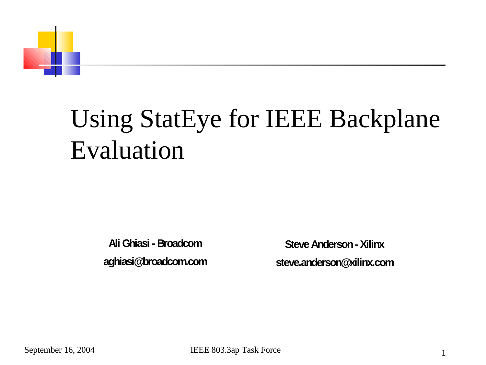

#### Using StatEye for IEEE Backplane Evaluation

**Ali Ghiasi - Broadcom aghiasi@broadcom.com**

**Steve Anderson - Xilinx steve.anderson@xilinx.com**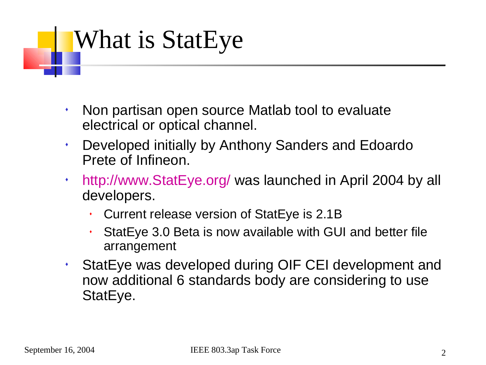## What is StatEye

- Non partisan open source Matlab tool to evaluate electrical or optical channel.
- Developed initially by Anthony Sanders and Edoardo Prete of Infineon.
- http://www.StatEye.org/ was launched in April 2004 by all developers.
	- Current release version of StatEye is 2.1B
	- StatEye 3.0 Beta is now available with GUI and better file arrangement
- StatEye was developed during OIF CEI development and now additional 6 standards body are considering to use StatEye.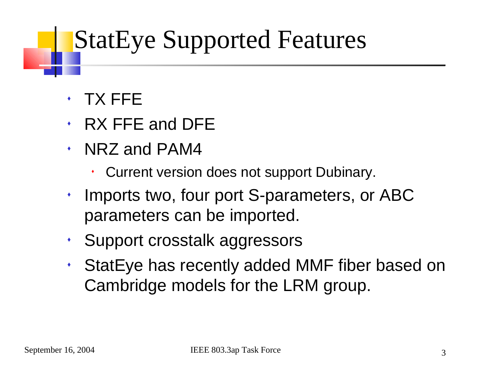#### StatEye Supported Features

- TX FFE
- RX FFE and DFE
- NRZ and PAM4
	- Current version does not support Dubinary.
- $\cdot$  Imports two, four port S-parameters, or ABC parameters can be imported.
- Support crosstalk aggressors
- StatEye has recently added MMF fiber based on Cambridge models for the LRM group.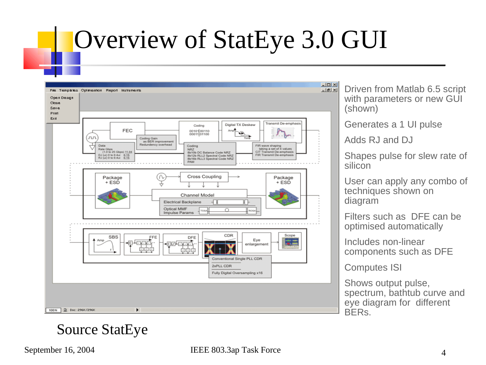#### Overview of StatEye 3.0 GUI



Driven from Matlab 6.5 script with parameters or new GUI (shown)

Generates a 1 UI pulse

Adds RJ and DJ

Shapes pulse for slew rate of silicon

User can apply any combo of techniques shown on diagram

Filters such as DFE can be optimised automatically

Includes non-linear components such as DFE

Computes ISI

Shows output pulse, spectrum, bathtub curve and eye diagram for different BERs.

#### Source StatEye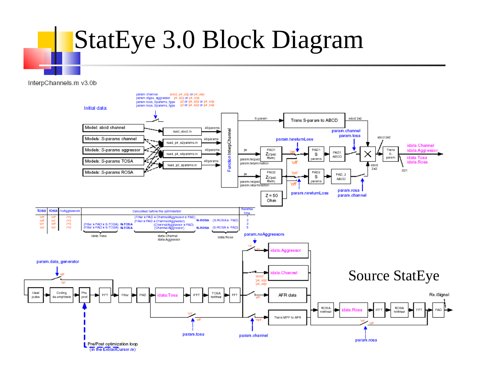## StatEye 3.0 Block Diagram

InterpChannels.m v3.0b

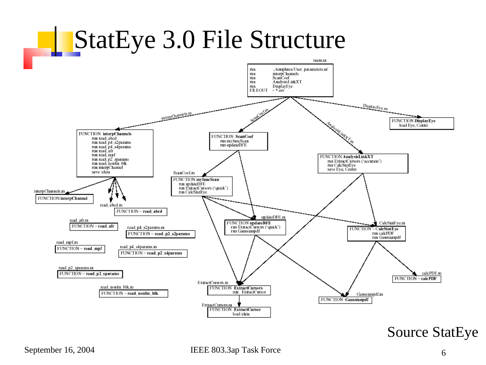

Source StatEye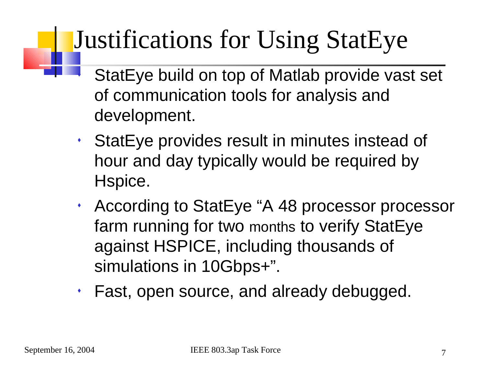## Justifications for Using StatEye

- StatEye build on top of Matlab provide vast set of communication tools for analysis and development.
- StatEye provides result in minutes instead of hour and day typically would be required by Hspice.
- According to StatEye "A 48 processor processor farm running for two months to verify StatEye against HSPICE, including thousands of simulations in 10Gbps+".
- Fast, open source, and already debugged.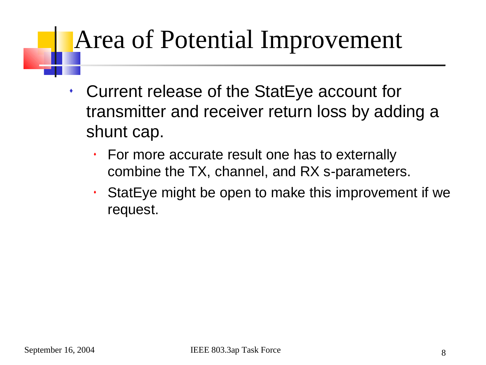### Area of Potential Improvement

- Current release of the StatEye account for transmitter and receiver return loss by adding a shunt cap.
	- For more accurate result one has to externally combine the TX, channel, and RX s-parameters.
	- StatEye might be open to make this improvement if we request.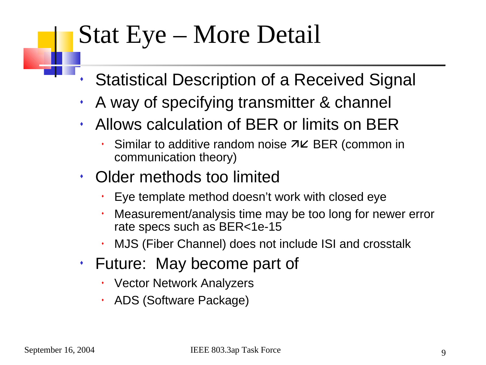#### Stat Eye – More Detail

- Statistical Description of a Received Signal
- A way of specifying transmitter & channel
- Allows calculation of BER or limits on BER
	- Similar to additive random noise  $\nabla K$  BER (common in communication theory)
- Older methods too limited
	- Eye template method doesn't work with closed eye
	- Measurement/analysis time may be too long for newer error rate specs such as BER<1e-15
	- MJS (Fiber Channel) does not include ISI and crosstalk
- Future: May become part of
	- Vector Network Analyzers
	- ADS (Software Package)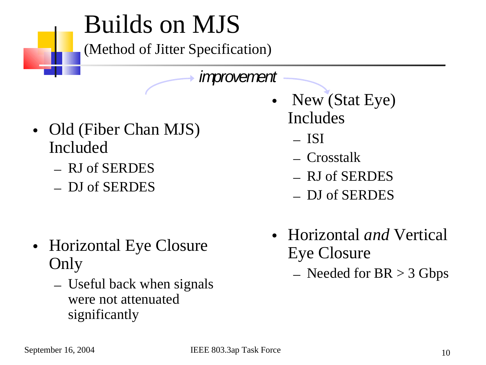#### Builds on MJS

(Method of Jitter Specification)

improvement

- Old (Fiber Chan MJS) Included
	- RJ of SERDES
	- DJ of SERDES

- Horizontal Eye Closure Only
	- Useful back when signals were not attenuated significantly
- New (Stat Eye) Includes
	- ISI
	- Crosstalk
	- RJ of SERDES
	- DJ of SERDES
- Horizontal *and* Vertical Eye Closure
	- $-$  Needed for BR  $>$  3 Gbps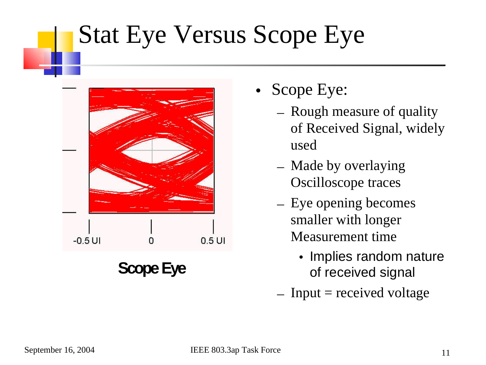### Stat Eye Versus Scope Eye



- Scope Eye:
	- Rough measure of quality of Received Signal, widely used
	- Made by overlaying Oscilloscope traces
	- Eye opening becomes smaller with longer Measurement time
		- Implies random nature of received signal
	- $-$  Input = received voltage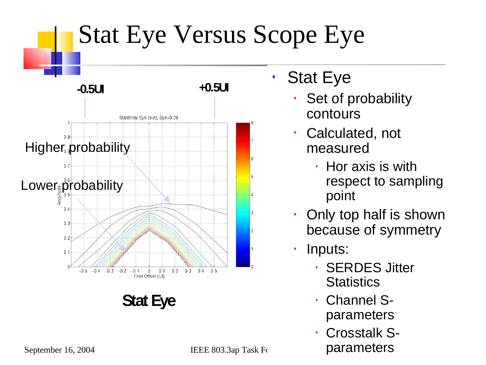

 Crosstalk Sparameters

September 16, 2004 IEEE 803.3ap Task Force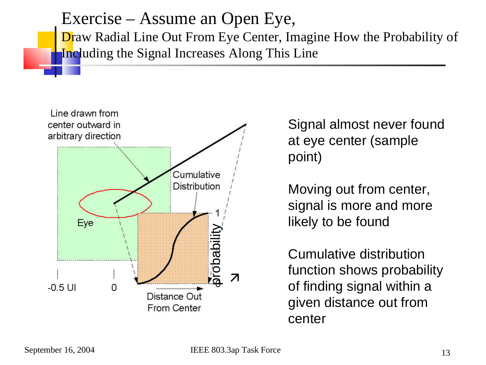Exercise – Assume an Open Eye, Draw Radial Line Out From Eye Center, Imagine How the Probability of Including the Signal Increases Along This Line



Signal almost never found at eye center (sample point)

Moving out from center, signal is more and more likely to be found

Cumulative distribution function shows probability of finding signal within a given distance out from center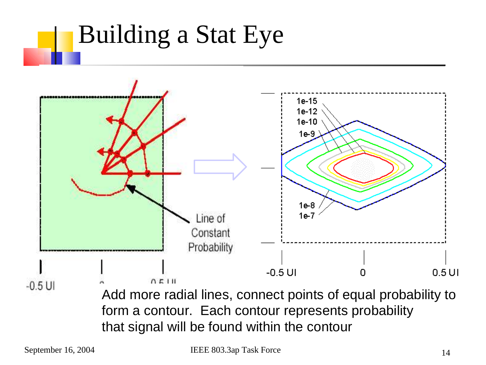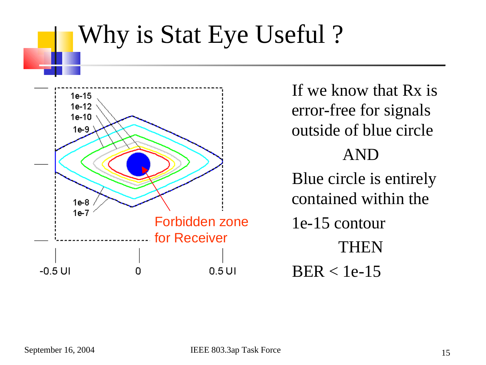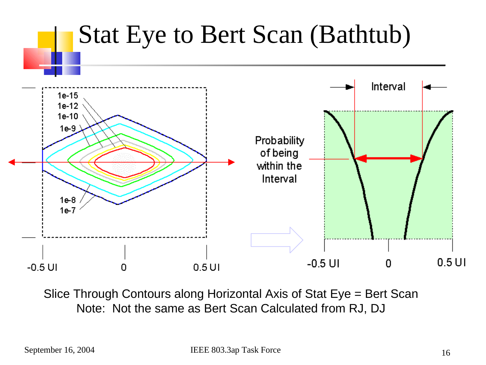

Slice Through Contours along Horizontal Axis of Stat Eye = Bert Scan Note: Not the same as Bert Scan Calculated from RJ, DJ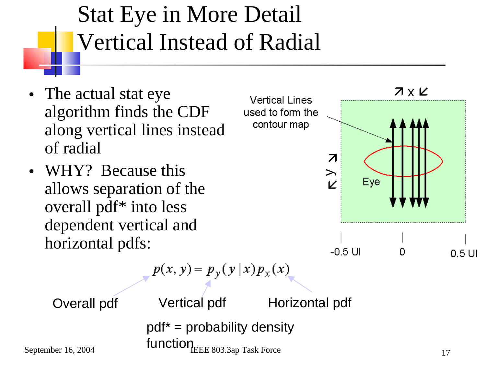#### Stat Eye in More Detail Vertical Instead of Radial

- The actual stat eye algorithm finds the CDF along vertical lines instead of radial
- WHY? Because this allows separation of the overall pdf\* into less dependent vertical and horizontal pdfs:

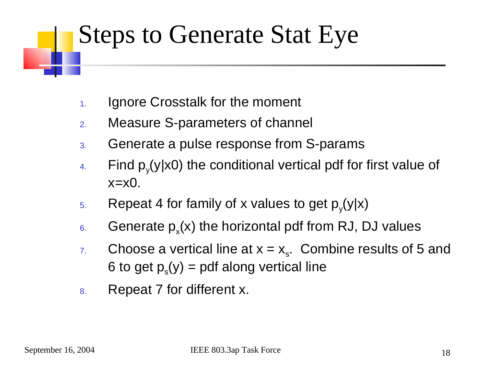#### Steps to Generate Stat Eye

- 1. Ignore Crosstalk for the moment
- 2. Measure S-parameters of channel
- 3. Generate a pulse response from S-params
- 4. Find  $p_y(y|x0)$  the conditional vertical pdf for first value of  $x=x0$ .
- 5. Repeat 4 for family of x values to get  $p_y(y|x)$
- 6. Generate  $p_x(x)$  the horizontal pdf from RJ, DJ values
- 7. Choose a vertical line at  $x = x_s$ . Combine results of 5 and 6 to get  $p_{s}(y) =$  pdf along vertical line
- 8. Repeat 7 for different x.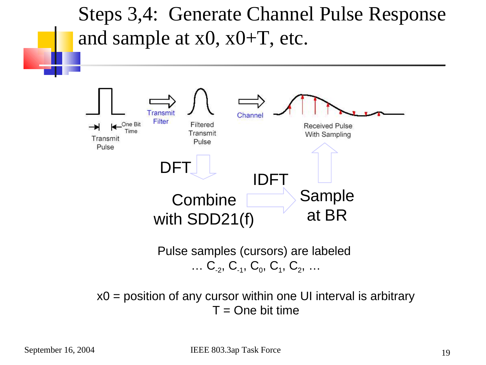Steps 3,4: Generate Channel Pulse Response and sample at  $x0$ ,  $x0+T$ , etc.



x0 = position of any cursor within one UI interval is arbitrary  $T =$ One bit time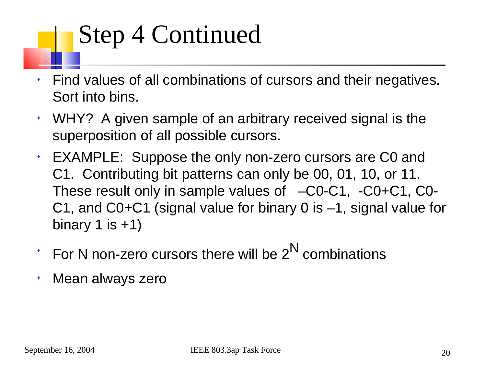## Step 4 Continued

- Find values of all combinations of cursors and their negatives. Sort into bins.
- WHY? A given sample of an arbitrary received signal is the superposition of all possible cursors.
- EXAMPLE: Suppose the only non-zero cursors are C0 and C1. Contributing bit patterns can only be 00, 01, 10, or 11. These result only in sample values of –C0-C1, -C0+C1, C0- C1, and C0+C1 (signal value for binary 0 is –1, signal value for binary 1 is  $+1$ )
- $\cdot$  For N non-zero cursors there will be 2<sup>N</sup> combinations
- Mean always zero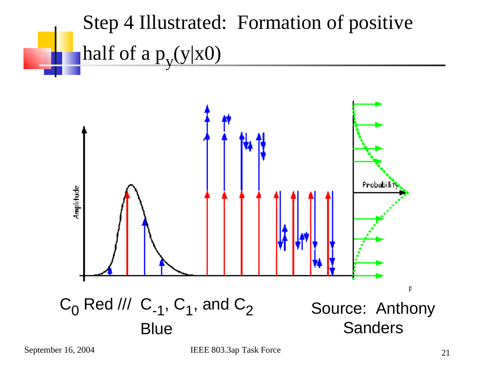



September 16, 2004 IEEE 803.3ap Task Force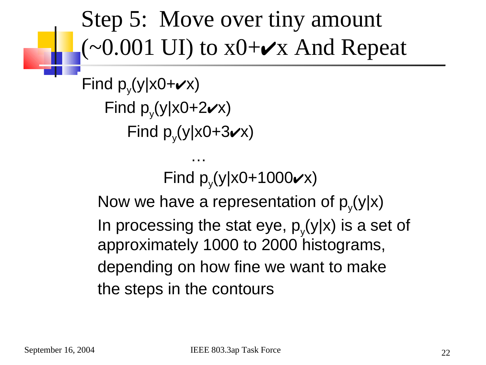#### Step 5: Move over tiny amount  $(-0.001 \text{ UI})$  to  $x0+\vee x$  And Repeat

```
Find p_y(y|x0+\nu x)Find p_y(y|x0+2\nu x)Find p_y(y|x0+3\mathbf{v}x)
```
…

```
Find p_y(y|x0+1000 \vee x)
```
Now we have a representation of  $p_y(y|x)$ In processing the stat eye,  $p_y(y|x)$  is a set of approximately 1000 to 2000 histograms, depending on how fine we want to make the steps in the contours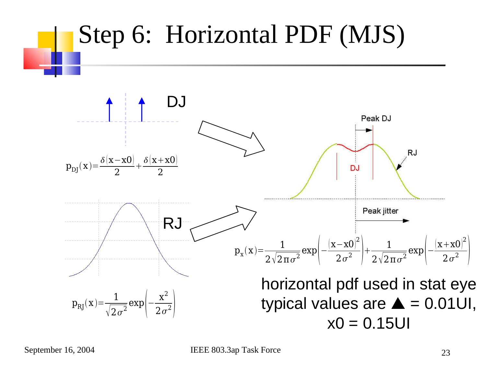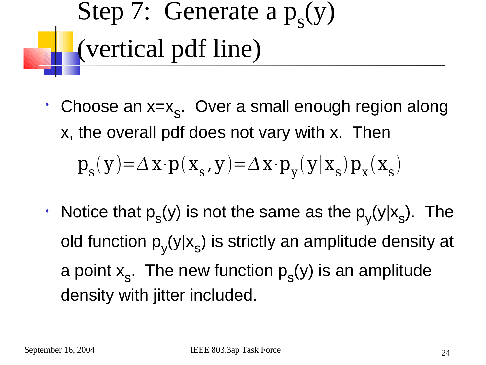Step 7: Generate a  $p_s(y)$ (vertical pdf line)

- Choose an x=x s . Over a small enough region along x, the overall pdf does not vary with x. Then  $p_{s}(y) = \Delta x \cdot p(x_{s}, y) = \Delta x \cdot p_{y}(y|x_{s}) p_{x}(x_{s})$
- $\cdot$  Notice that  $p_{s}(y)$  is not the same as the  $p_{y}(y|x_{s})$ . The old function  $p_y(y|x_s)$  is strictly an amplitude density at a point  $x_{s}$ . The new function  $p_{s}(y)$  is an amplitude density with jitter included.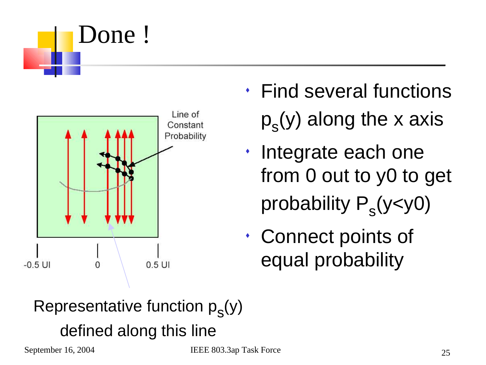



- Find several functions  ${\sf p}_{\sf s}({\sf y})$  along the x axis
- Integrate each one from 0 out to y0 to get probability P<sub>s</sub>(y<y0)
- Connect points of equal probability

#### Representative function  $p_{s}(y)$ defined along this line

September 16, 2004 **IEEE 803.3ap Task Force**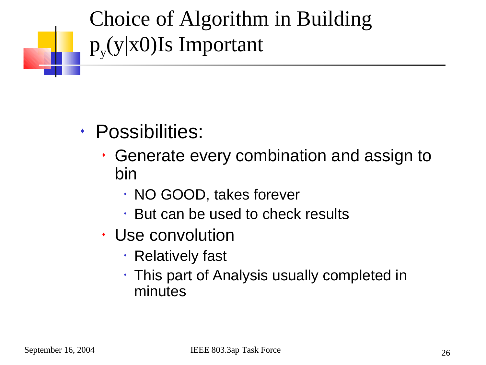#### Choice of Algorithm in Building  $p_{y}(y|x0)$ Is Important

- Possibilities:
	- Generate every combination and assign to bin
		- NO GOOD, takes forever
		- $\cdot$  But can be used to check results
	- Use convolution
		- Relatively fast
		- $\cdot$  This part of Analysis usually completed in minutes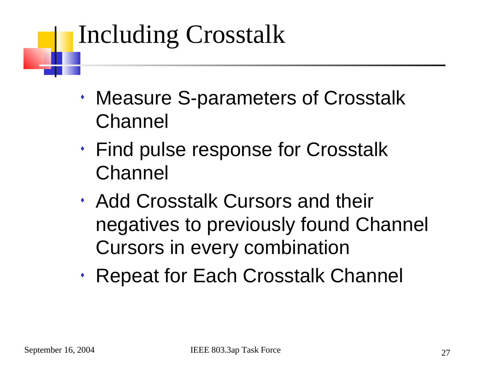#### Including Crosstalk

- Measure S-parameters of Crosstalk Channel
- Find pulse response for Crosstalk Channel
- Add Crosstalk Cursors and their negatives to previously found Channel Cursors in every combination
- Repeat for Each Crosstalk Channel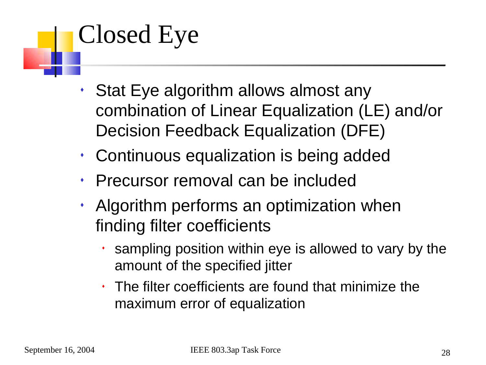## Closed Eye

- Stat Eye algorithm allows almost any combination of Linear Equalization (LE) and/or Decision Feedback Equalization (DFE)
- Continuous equalization is being added
- Precursor removal can be included
- Algorithm performs an optimization when finding filter coefficients
	- sampling position within eye is allowed to vary by the amount of the specified jitter
	- The filter coefficients are found that minimize the maximum error of equalization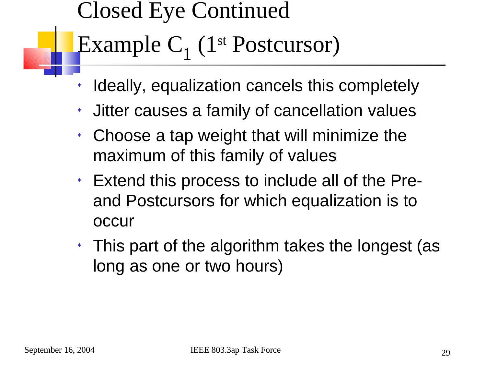## Closed Eye Continued Example C<sub>1</sub> (1<sup>st</sup> Postcursor)

- Ideally, equalization cancels this completely
- Jitter causes a family of cancellation values
- Choose a tap weight that will minimize the maximum of this family of values
- Extend this process to include all of the Preand Postcursors for which equalization is to occur
- $\cdot$  This part of the algorithm takes the longest (as long as one or two hours)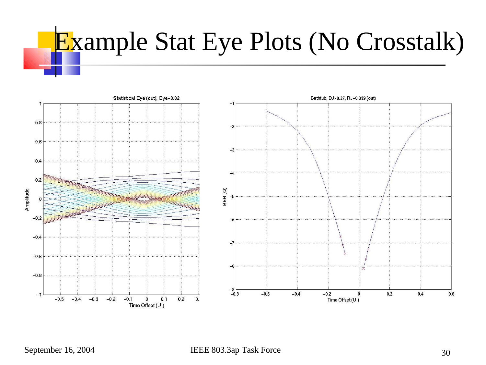# Example Stat Eye Plots (No Crosstalk)